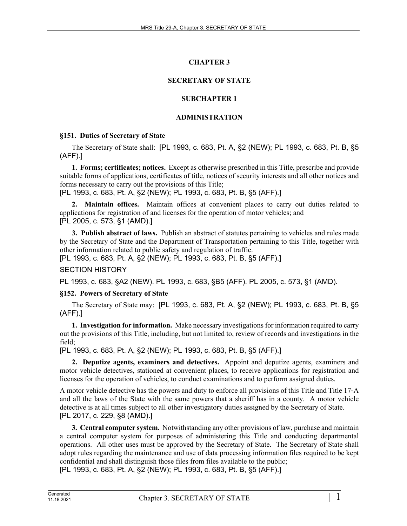# **CHAPTER 3**

# **SECRETARY OF STATE**

# **SUBCHAPTER 1**

# **ADMINISTRATION**

# **§151. Duties of Secretary of State**

The Secretary of State shall: [PL 1993, c. 683, Pt. A, §2 (NEW); PL 1993, c. 683, Pt. B, §5 (AFF).]

**1. Forms; certificates; notices.** Except as otherwise prescribed in this Title, prescribe and provide suitable forms of applications, certificates of title, notices of security interests and all other notices and forms necessary to carry out the provisions of this Title;

[PL 1993, c. 683, Pt. A, §2 (NEW); PL 1993, c. 683, Pt. B, §5 (AFF).]

**2. Maintain offices.** Maintain offices at convenient places to carry out duties related to applications for registration of and licenses for the operation of motor vehicles; and [PL 2005, c. 573, §1 (AMD).]

**3. Publish abstract of laws.** Publish an abstract of statutes pertaining to vehicles and rules made by the Secretary of State and the Department of Transportation pertaining to this Title, together with other information related to public safety and regulation of traffic.

[PL 1993, c. 683, Pt. A, §2 (NEW); PL 1993, c. 683, Pt. B, §5 (AFF).]

# SECTION HISTORY

PL 1993, c. 683, §A2 (NEW). PL 1993, c. 683, §B5 (AFF). PL 2005, c. 573, §1 (AMD).

# **§152. Powers of Secretary of State**

The Secretary of State may: [PL 1993, c. 683, Pt. A, §2 (NEW); PL 1993, c. 683, Pt. B, §5 (AFF).]

**1. Investigation for information.** Make necessary investigations for information required to carry out the provisions of this Title, including, but not limited to, review of records and investigations in the field;

[PL 1993, c. 683, Pt. A, §2 (NEW); PL 1993, c. 683, Pt. B, §5 (AFF).]

**2. Deputize agents, examiners and detectives.** Appoint and deputize agents, examiners and motor vehicle detectives, stationed at convenient places, to receive applications for registration and licenses for the operation of vehicles, to conduct examinations and to perform assigned duties.

A motor vehicle detective has the powers and duty to enforce all provisions of this Title and Title 17‑A and all the laws of the State with the same powers that a sheriff has in a county. A motor vehicle detective is at all times subject to all other investigatory duties assigned by the Secretary of State. [PL 2017, c. 229, §8 (AMD).]

**3. Central computer system.** Notwithstanding any other provisions of law, purchase and maintain a central computer system for purposes of administering this Title and conducting departmental operations. All other uses must be approved by the Secretary of State. The Secretary of State shall adopt rules regarding the maintenance and use of data processing information files required to be kept confidential and shall distinguish those files from files available to the public; [PL 1993, c. 683, Pt. A, §2 (NEW); PL 1993, c. 683, Pt. B, §5 (AFF).]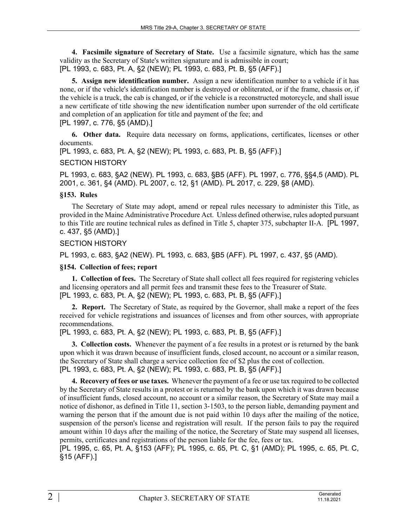**4. Facsimile signature of Secretary of State.** Use a facsimile signature, which has the same validity as the Secretary of State's written signature and is admissible in court; [PL 1993, c. 683, Pt. A, §2 (NEW); PL 1993, c. 683, Pt. B, §5 (AFF).]

**5. Assign new identification number.** Assign a new identification number to a vehicle if it has none, or if the vehicle's identification number is destroyed or obliterated, or if the frame, chassis or, if the vehicle is a truck, the cab is changed, or if the vehicle is a reconstructed motorcycle, and shall issue a new certificate of title showing the new identification number upon surrender of the old certificate and completion of an application for title and payment of the fee; and [PL 1997, c. 776, §5 (AMD).]

**6. Other data.** Require data necessary on forms, applications, certificates, licenses or other documents.

[PL 1993, c. 683, Pt. A, §2 (NEW); PL 1993, c. 683, Pt. B, §5 (AFF).]

#### SECTION HISTORY

PL 1993, c. 683, §A2 (NEW). PL 1993, c. 683, §B5 (AFF). PL 1997, c. 776, §§4,5 (AMD). PL 2001, c. 361, §4 (AMD). PL 2007, c. 12, §1 (AMD). PL 2017, c. 229, §8 (AMD).

## **§153. Rules**

The Secretary of State may adopt, amend or repeal rules necessary to administer this Title, as provided in the Maine Administrative Procedure Act. Unless defined otherwise, rules adopted pursuant to this Title are routine technical rules as defined in Title 5, chapter 375, subchapter II-A. [PL 1997, c. 437, §5 (AMD).]

## SECTION HISTORY

PL 1993, c. 683, §A2 (NEW). PL 1993, c. 683, §B5 (AFF). PL 1997, c. 437, §5 (AMD).

# **§154. Collection of fees; report**

**1. Collection of fees.** The Secretary of State shall collect all fees required for registering vehicles and licensing operators and all permit fees and transmit these fees to the Treasurer of State. [PL 1993, c. 683, Pt. A, §2 (NEW); PL 1993, c. 683, Pt. B, §5 (AFF).]

**2. Report.** The Secretary of State, as required by the Governor, shall make a report of the fees received for vehicle registrations and issuances of licenses and from other sources, with appropriate recommendations.

[PL 1993, c. 683, Pt. A, §2 (NEW); PL 1993, c. 683, Pt. B, §5 (AFF).]

**3. Collection costs.** Whenever the payment of a fee results in a protest or is returned by the bank upon which it was drawn because of insufficient funds, closed account, no account or a similar reason, the Secretary of State shall charge a service collection fee of \$2 plus the cost of collection. [PL 1993, c. 683, Pt. A, §2 (NEW); PL 1993, c. 683, Pt. B, §5 (AFF).]

**4. Recovery of fees or use taxes.** Whenever the payment of a fee or use tax required to be collected by the Secretary of State results in a protest or is returned by the bank upon which it was drawn because of insufficient funds, closed account, no account or a similar reason, the Secretary of State may mail a notice of dishonor, as defined in Title 11, section 3‑1503, to the person liable, demanding payment and warning the person that if the amount due is not paid within 10 days after the mailing of the notice, suspension of the person's license and registration will result. If the person fails to pay the required amount within 10 days after the mailing of the notice, the Secretary of State may suspend all licenses, permits, certificates and registrations of the person liable for the fee, fees or tax.

[PL 1995, c. 65, Pt. A, §153 (AFF); PL 1995, c. 65, Pt. C, §1 (AMD); PL 1995, c. 65, Pt. C, §15 (AFF).]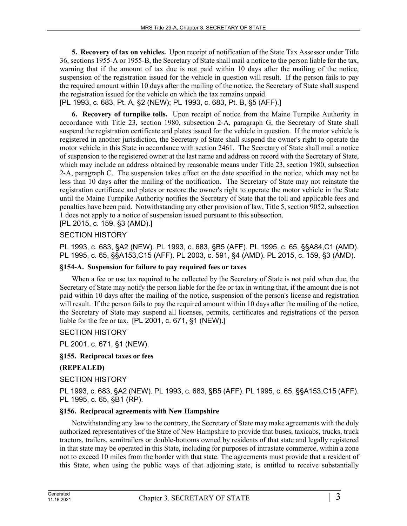**5. Recovery of tax on vehicles.** Upon receipt of notification of the State Tax Assessor under Title 36, sections 1955-A or 1955-B, the Secretary of State shall mail a notice to the person liable for the tax, warning that if the amount of tax due is not paid within 10 days after the mailing of the notice, suspension of the registration issued for the vehicle in question will result. If the person fails to pay the required amount within 10 days after the mailing of the notice, the Secretary of State shall suspend the registration issued for the vehicle on which the tax remains unpaid.

[PL 1993, c. 683, Pt. A, §2 (NEW); PL 1993, c. 683, Pt. B, §5 (AFF).]

**6. Recovery of turnpike tolls.** Upon receipt of notice from the Maine Turnpike Authority in accordance with Title 23, section 1980, subsection 2‑A, paragraph G, the Secretary of State shall suspend the registration certificate and plates issued for the vehicle in question. If the motor vehicle is registered in another jurisdiction, the Secretary of State shall suspend the owner's right to operate the motor vehicle in this State in accordance with section 2461. The Secretary of State shall mail a notice of suspension to the registered owner at the last name and address on record with the Secretary of State, which may include an address obtained by reasonable means under Title 23, section 1980, subsection 2‑A, paragraph C. The suspension takes effect on the date specified in the notice, which may not be less than 10 days after the mailing of the notification. The Secretary of State may not reinstate the registration certificate and plates or restore the owner's right to operate the motor vehicle in the State until the Maine Turnpike Authority notifies the Secretary of State that the toll and applicable fees and penalties have been paid. Notwithstanding any other provision of law, Title 5, section 9052, subsection 1 does not apply to a notice of suspension issued pursuant to this subsection.

[PL 2015, c. 159, §3 (AMD).]

## SECTION HISTORY

PL 1993, c. 683, §A2 (NEW). PL 1993, c. 683, §B5 (AFF). PL 1995, c. 65, §§A84,C1 (AMD). PL 1995, c. 65, §§A153,C15 (AFF). PL 2003, c. 591, §4 (AMD). PL 2015, c. 159, §3 (AMD).

#### **§154-A. Suspension for failure to pay required fees or taxes**

When a fee or use tax required to be collected by the Secretary of State is not paid when due, the Secretary of State may notify the person liable for the fee or tax in writing that, if the amount due is not paid within 10 days after the mailing of the notice, suspension of the person's license and registration will result. If the person fails to pay the required amount within 10 days after the mailing of the notice, the Secretary of State may suspend all licenses, permits, certificates and registrations of the person liable for the fee or tax. [PL 2001, c. 671, §1 (NEW).]

#### SECTION HISTORY

PL 2001, c. 671, §1 (NEW).

## **§155. Reciprocal taxes or fees**

#### **(REPEALED)**

#### SECTION HISTORY

PL 1993, c. 683, §A2 (NEW). PL 1993, c. 683, §B5 (AFF). PL 1995, c. 65, §§A153,C15 (AFF). PL 1995, c. 65, §B1 (RP).

# **§156. Reciprocal agreements with New Hampshire**

Notwithstanding any law to the contrary, the Secretary of State may make agreements with the duly authorized representatives of the State of New Hampshire to provide that buses, taxicabs, trucks, truck tractors, trailers, semitrailers or double-bottoms owned by residents of that state and legally registered in that state may be operated in this State, including for purposes of intrastate commerce, within a zone not to exceed 10 miles from the border with that state. The agreements must provide that a resident of this State, when using the public ways of that adjoining state, is entitled to receive substantially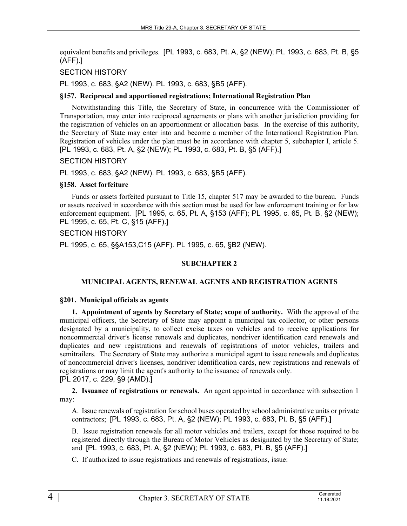equivalent benefits and privileges. [PL 1993, c. 683, Pt. A, §2 (NEW); PL 1993, c. 683, Pt. B, §5 (AFF).]

## SECTION HISTORY

PL 1993, c. 683, §A2 (NEW). PL 1993, c. 683, §B5 (AFF).

#### **§157. Reciprocal and apportioned registrations; International Registration Plan**

Notwithstanding this Title, the Secretary of State, in concurrence with the Commissioner of Transportation, may enter into reciprocal agreements or plans with another jurisdiction providing for the registration of vehicles on an apportionment or allocation basis. In the exercise of this authority, the Secretary of State may enter into and become a member of the International Registration Plan. Registration of vehicles under the plan must be in accordance with chapter 5, subchapter I, article 5. [PL 1993, c. 683, Pt. A, §2 (NEW); PL 1993, c. 683, Pt. B, §5 (AFF).]

#### SECTION HISTORY

PL 1993, c. 683, §A2 (NEW). PL 1993, c. 683, §B5 (AFF).

#### **§158. Asset forfeiture**

Funds or assets forfeited pursuant to Title 15, chapter 517 may be awarded to the bureau. Funds or assets received in accordance with this section must be used for law enforcement training or for law enforcement equipment. [PL 1995, c. 65, Pt. A, §153 (AFF); PL 1995, c. 65, Pt. B, §2 (NEW); PL 1995, c. 65, Pt. C, §15 (AFF).]

#### SECTION HISTORY

PL 1995, c. 65, §§A153,C15 (AFF). PL 1995, c. 65, §B2 (NEW).

### **SUBCHAPTER 2**

#### **MUNICIPAL AGENTS, RENEWAL AGENTS AND REGISTRATION AGENTS**

#### **§201. Municipal officials as agents**

**1. Appointment of agents by Secretary of State; scope of authority.** With the approval of the municipal officers, the Secretary of State may appoint a municipal tax collector, or other persons designated by a municipality, to collect excise taxes on vehicles and to receive applications for noncommercial driver's license renewals and duplicates, nondriver identification card renewals and duplicates and new registrations and renewals of registrations of motor vehicles, trailers and semitrailers. The Secretary of State may authorize a municipal agent to issue renewals and duplicates of noncommercial driver's licenses, nondriver identification cards, new registrations and renewals of registrations or may limit the agent's authority to the issuance of renewals only. [PL 2017, c. 229, §9 (AMD).]

**2. Issuance of registrations or renewals.** An agent appointed in accordance with subsection 1 may:

A. Issue renewals of registration for school buses operated by school administrative units or private contractors; [PL 1993, c. 683, Pt. A, §2 (NEW); PL 1993, c. 683, Pt. B, §5 (AFF).]

B. Issue registration renewals for all motor vehicles and trailers, except for those required to be registered directly through the Bureau of Motor Vehicles as designated by the Secretary of State; and [PL 1993, c. 683, Pt. A, §2 (NEW); PL 1993, c. 683, Pt. B, §5 (AFF).]

C. If authorized to issue registrations and renewals of registrations, issue: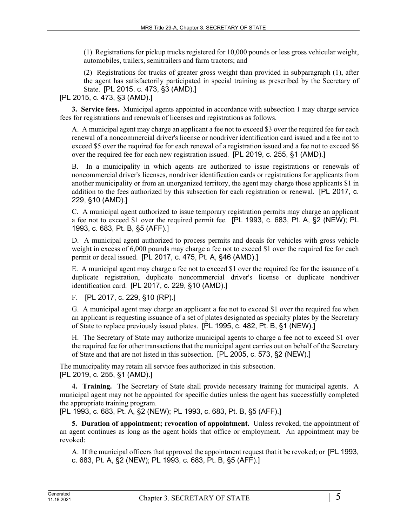(1) Registrations for pickup trucks registered for 10,000 pounds or less gross vehicular weight, automobiles, trailers, semitrailers and farm tractors; and

(2) Registrations for trucks of greater gross weight than provided in subparagraph (1), after the agent has satisfactorily participated in special training as prescribed by the Secretary of State. [PL 2015, c. 473, §3 (AMD).]

[PL 2015, c. 473, §3 (AMD).]

**3. Service fees.** Municipal agents appointed in accordance with subsection 1 may charge service fees for registrations and renewals of licenses and registrations as follows.

A. A municipal agent may charge an applicant a fee not to exceed \$3 over the required fee for each renewal of a noncommercial driver's license or nondriver identification card issued and a fee not to exceed \$5 over the required fee for each renewal of a registration issued and a fee not to exceed \$6 over the required fee for each new registration issued. [PL 2019, c. 255, §1 (AMD).]

B. In a municipality in which agents are authorized to issue registrations or renewals of noncommercial driver's licenses, nondriver identification cards or registrations for applicants from another municipality or from an unorganized territory, the agent may charge those applicants \$1 in addition to the fees authorized by this subsection for each registration or renewal. [PL 2017, c. 229, §10 (AMD).]

C. A municipal agent authorized to issue temporary registration permits may charge an applicant a fee not to exceed \$1 over the required permit fee. [PL 1993, c. 683, Pt. A, §2 (NEW); PL 1993, c. 683, Pt. B, §5 (AFF).]

D. A municipal agent authorized to process permits and decals for vehicles with gross vehicle weight in excess of 6,000 pounds may charge a fee not to exceed \$1 over the required fee for each permit or decal issued. [PL 2017, c. 475, Pt. A, §46 (AMD).]

E. A municipal agent may charge a fee not to exceed \$1 over the required fee for the issuance of a duplicate registration, duplicate noncommercial driver's license or duplicate nondriver identification card. [PL 2017, c. 229, §10 (AMD).]

F. [PL 2017, c. 229, §10 (RP).]

G. A municipal agent may charge an applicant a fee not to exceed \$1 over the required fee when an applicant is requesting issuance of a set of plates designated as specialty plates by the Secretary of State to replace previously issued plates. [PL 1995, c. 482, Pt. B, §1 (NEW).]

H. The Secretary of State may authorize municipal agents to charge a fee not to exceed \$1 over the required fee for other transactions that the municipal agent carries out on behalf of the Secretary of State and that are not listed in this subsection. [PL 2005, c. 573, §2 (NEW).]

The municipality may retain all service fees authorized in this subsection. [PL 2019, c. 255, §1 (AMD).]

**4. Training.** The Secretary of State shall provide necessary training for municipal agents. A municipal agent may not be appointed for specific duties unless the agent has successfully completed the appropriate training program.

[PL 1993, c. 683, Pt. A, §2 (NEW); PL 1993, c. 683, Pt. B, §5 (AFF).]

**5. Duration of appointment; revocation of appointment.** Unless revoked, the appointment of an agent continues as long as the agent holds that office or employment. An appointment may be revoked:

A. If the municipal officers that approved the appointment request that it be revoked; or [PL 1993, c. 683, Pt. A, §2 (NEW); PL 1993, c. 683, Pt. B, §5 (AFF).]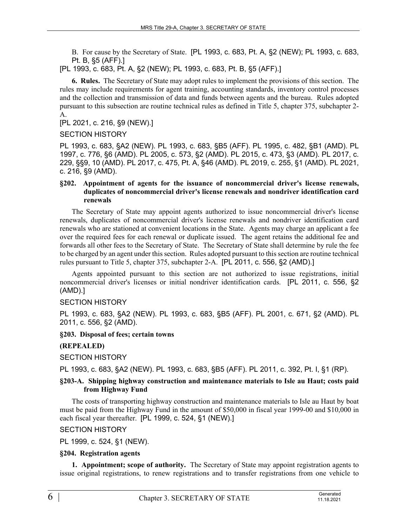B. For cause by the Secretary of State. [PL 1993, c. 683, Pt. A, §2 (NEW); PL 1993, c. 683, Pt. B, §5 (AFF).]

[PL 1993, c. 683, Pt. A, §2 (NEW); PL 1993, c. 683, Pt. B, §5 (AFF).]

**6. Rules.** The Secretary of State may adopt rules to implement the provisions of this section. The rules may include requirements for agent training, accounting standards, inventory control processes and the collection and transmission of data and funds between agents and the bureau. Rules adopted pursuant to this subsection are routine technical rules as defined in Title 5, chapter 375, subchapter 2-  $A<sub>1</sub>$ 

[PL 2021, c. 216, §9 (NEW).]

SECTION HISTORY

PL 1993, c. 683, §A2 (NEW). PL 1993, c. 683, §B5 (AFF). PL 1995, c. 482, §B1 (AMD). PL 1997, c. 776, §6 (AMD). PL 2005, c. 573, §2 (AMD). PL 2015, c. 473, §3 (AMD). PL 2017, c. 229, §§9, 10 (AMD). PL 2017, c. 475, Pt. A, §46 (AMD). PL 2019, c. 255, §1 (AMD). PL 2021, c. 216, §9 (AMD).

#### **§202. Appointment of agents for the issuance of noncommercial driver's license renewals, duplicates of noncommercial driver's license renewals and nondriver identification card renewals**

The Secretary of State may appoint agents authorized to issue noncommercial driver's license renewals, duplicates of noncommercial driver's license renewals and nondriver identification card renewals who are stationed at convenient locations in the State. Agents may charge an applicant a fee over the required fees for each renewal or duplicate issued. The agent retains the additional fee and forwards all other fees to the Secretary of State. The Secretary of State shall determine by rule the fee to be charged by an agent under this section. Rules adopted pursuant to this section are routine technical rules pursuant to Title 5, chapter 375, subchapter 2-A. [PL 2011, c. 556, §2 (AMD).]

Agents appointed pursuant to this section are not authorized to issue registrations, initial noncommercial driver's licenses or initial nondriver identification cards. [PL 2011, c. 556, §2 (AMD).]

#### SECTION HISTORY

PL 1993, c. 683, §A2 (NEW). PL 1993, c. 683, §B5 (AFF). PL 2001, c. 671, §2 (AMD). PL 2011, c. 556, §2 (AMD).

### **§203. Disposal of fees; certain towns**

#### **(REPEALED)**

SECTION HISTORY

PL 1993, c. 683, §A2 (NEW). PL 1993, c. 683, §B5 (AFF). PL 2011, c. 392, Pt. I, §1 (RP).

#### **§203-A. Shipping highway construction and maintenance materials to Isle au Haut; costs paid from Highway Fund**

The costs of transporting highway construction and maintenance materials to Isle au Haut by boat must be paid from the Highway Fund in the amount of \$50,000 in fiscal year 1999-00 and \$10,000 in each fiscal year thereafter. [PL 1999, c. 524, §1 (NEW).]

#### SECTION HISTORY

PL 1999, c. 524, §1 (NEW).

#### **§204. Registration agents**

**1. Appointment; scope of authority.** The Secretary of State may appoint registration agents to issue original registrations, to renew registrations and to transfer registrations from one vehicle to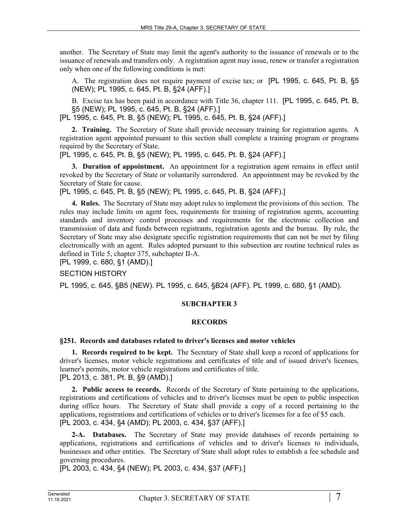another. The Secretary of State may limit the agent's authority to the issuance of renewals or to the issuance of renewals and transfers only. A registration agent may issue, renew or transfer a registration only when one of the following conditions is met:

A. The registration does not require payment of excise tax; or [PL 1995, c. 645, Pt. B, §5 (NEW); PL 1995, c. 645, Pt. B, §24 (AFF).]

B. Excise tax has been paid in accordance with Title 36, chapter 111. [PL 1995, c. 645, Pt. B, §5 (NEW); PL 1995, c. 645, Pt. B, §24 (AFF).]

[PL 1995, c. 645, Pt. B, §5 (NEW); PL 1995, c. 645, Pt. B, §24 (AFF).]

**2. Training.** The Secretary of State shall provide necessary training for registration agents. A registration agent appointed pursuant to this section shall complete a training program or programs required by the Secretary of State.

[PL 1995, c. 645, Pt. B, §5 (NEW); PL 1995, c. 645, Pt. B, §24 (AFF).]

**3. Duration of appointment.** An appointment for a registration agent remains in effect until revoked by the Secretary of State or voluntarily surrendered. An appointment may be revoked by the Secretary of State for cause.

[PL 1995, c. 645, Pt. B, §5 (NEW); PL 1995, c. 645, Pt. B, §24 (AFF).]

**4. Rules.** The Secretary of State may adopt rules to implement the provisions of this section. The rules may include limits on agent fees, requirements for training of registration agents, accounting standards and inventory control processes and requirements for the electronic collection and transmission of data and funds between registrants, registration agents and the bureau. By rule, the Secretary of State may also designate specific registration requirements that can not be met by filing electronically with an agent. Rules adopted pursuant to this subsection are routine technical rules as defined in Title 5, chapter 375, subchapter II-A.

[PL 1999, c. 680, §1 (AMD).]

SECTION HISTORY

PL 1995, c. 645, §B5 (NEW). PL 1995, c. 645, §B24 (AFF). PL 1999, c. 680, §1 (AMD).

### **SUBCHAPTER 3**

#### **RECORDS**

#### **§251. Records and databases related to driver's licenses and motor vehicles**

**1. Records required to be kept.** The Secretary of State shall keep a record of applications for driver's licenses, motor vehicle registrations and certificates of title and of issued driver's licenses, learner's permits, motor vehicle registrations and certificates of title. [PL 2013, c. 381, Pt. B, §9 (AMD).]

**2. Public access to records.** Records of the Secretary of State pertaining to the applications, registrations and certifications of vehicles and to driver's licenses must be open to public inspection during office hours. The Secretary of State shall provide a copy of a record pertaining to the applications, registrations and certifications of vehicles or to driver's licenses for a fee of \$5 each. [PL 2003, c. 434, §4 (AMD); PL 2003, c. 434, §37 (AFF).]

**2-A. Databases.** The Secretary of State may provide databases of records pertaining to applications, registrations and certifications of vehicles and to driver's licenses to individuals, businesses and other entities. The Secretary of State shall adopt rules to establish a fee schedule and governing procedures.

[PL 2003, c. 434, §4 (NEW); PL 2003, c. 434, §37 (AFF).]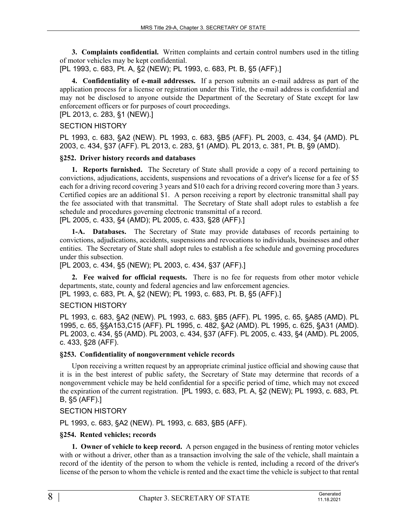**3. Complaints confidential.** Written complaints and certain control numbers used in the titling of motor vehicles may be kept confidential.

[PL 1993, c. 683, Pt. A, §2 (NEW); PL 1993, c. 683, Pt. B, §5 (AFF).]

**4. Confidentiality of e-mail addresses.** If a person submits an e-mail address as part of the application process for a license or registration under this Title, the e-mail address is confidential and may not be disclosed to anyone outside the Department of the Secretary of State except for law enforcement officers or for purposes of court proceedings.

[PL 2013, c. 283, §1 (NEW).]

## SECTION HISTORY

PL 1993, c. 683, §A2 (NEW). PL 1993, c. 683, §B5 (AFF). PL 2003, c. 434, §4 (AMD). PL 2003, c. 434, §37 (AFF). PL 2013, c. 283, §1 (AMD). PL 2013, c. 381, Pt. B, §9 (AMD).

## **§252. Driver history records and databases**

**1. Reports furnished.** The Secretary of State shall provide a copy of a record pertaining to convictions, adjudications, accidents, suspensions and revocations of a driver's license for a fee of \$5 each for a driving record covering 3 years and \$10 each for a driving record covering more than 3 years. Certified copies are an additional \$1. A person receiving a report by electronic transmittal shall pay the fee associated with that transmittal. The Secretary of State shall adopt rules to establish a fee schedule and procedures governing electronic transmittal of a record.

[PL 2005, c. 433, §4 (AMD); PL 2005, c. 433, §28 (AFF).]

**1-A. Databases.** The Secretary of State may provide databases of records pertaining to convictions, adjudications, accidents, suspensions and revocations to individuals, businesses and other entities. The Secretary of State shall adopt rules to establish a fee schedule and governing procedures under this subsection.

[PL 2003, c. 434, §5 (NEW); PL 2003, c. 434, §37 (AFF).]

**2. Fee waived for official requests.** There is no fee for requests from other motor vehicle departments, state, county and federal agencies and law enforcement agencies.

[PL 1993, c. 683, Pt. A, §2 (NEW); PL 1993, c. 683, Pt. B, §5 (AFF).]

# SECTION HISTORY

PL 1993, c. 683, §A2 (NEW). PL 1993, c. 683, §B5 (AFF). PL 1995, c. 65, §A85 (AMD). PL 1995, c. 65, §§A153,C15 (AFF). PL 1995, c. 482, §A2 (AMD). PL 1995, c. 625, §A31 (AMD). PL 2003, c. 434, §5 (AMD). PL 2003, c. 434, §37 (AFF). PL 2005, c. 433, §4 (AMD). PL 2005, c. 433, §28 (AFF).

# **§253. Confidentiality of nongovernment vehicle records**

Upon receiving a written request by an appropriate criminal justice official and showing cause that it is in the best interest of public safety, the Secretary of State may determine that records of a nongovernment vehicle may be held confidential for a specific period of time, which may not exceed the expiration of the current registration. [PL 1993, c. 683, Pt. A, §2 (NEW); PL 1993, c. 683, Pt. B, §5 (AFF).]

# SECTION HISTORY

PL 1993, c. 683, §A2 (NEW). PL 1993, c. 683, §B5 (AFF).

#### **§254. Rented vehicles; records**

**1. Owner of vehicle to keep record.** A person engaged in the business of renting motor vehicles with or without a driver, other than as a transaction involving the sale of the vehicle, shall maintain a record of the identity of the person to whom the vehicle is rented, including a record of the driver's license of the person to whom the vehicle is rented and the exact time the vehicle is subject to that rental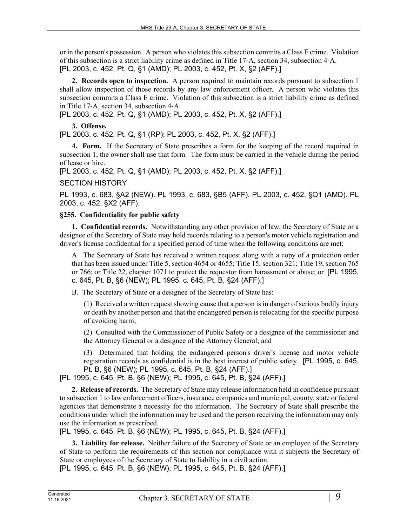or in the person's possession. A person who violates this subsection commits a Class E crime. Violation of this subsection is a strict liability crime as defined in Title 17‑A, section 34, subsection 4‑A. [PL 2003, c. 452, Pt. Q, §1 (AMD); PL 2003, c. 452, Pt. X, §2 (AFF).]

**2. Records open to inspection.** A person required to maintain records pursuant to subsection 1 shall allow inspection of those records by any law enforcement officer. A person who violates this subsection commits a Class E crime. Violation of this subsection is a strict liability crime as defined in Title 17‑A, section 34, subsection 4‑A.

[PL 2003, c. 452, Pt. Q, §1 (AMD); PL 2003, c. 452, Pt. X, §2 (AFF).]

**3. Offense.** 

[PL 2003, c. 452, Pt. Q, §1 (RP); PL 2003, c. 452, Pt. X, §2 (AFF).]

**4. Form.** If the Secretary of State prescribes a form for the keeping of the record required in subsection 1, the owner shall use that form. The form must be carried in the vehicle during the period of lease or hire.

[PL 2003, c. 452, Pt. Q, §1 (AMD); PL 2003, c. 452, Pt. X, §2 (AFF).]

# SECTION HISTORY

PL 1993, c. 683, §A2 (NEW). PL 1993, c. 683, §B5 (AFF). PL 2003, c. 452, §Q1 (AMD). PL 2003, c. 452, §X2 (AFF).

## **§255. Confidentiality for public safety**

**1. Confidential records.** Notwithstanding any other provision of law, the Secretary of State or a designee of the Secretary of State may hold records relating to a person's motor vehicle registration and driver's license confidential for a specified period of time when the following conditions are met:

A. The Secretary of State has received a written request along with a copy of a protection order that has been issued under Title 5, section 4654 or 4655; Title 15, section 321; Title 19, section 765 or 766; or Title 22, chapter 1071 to protect the requestor from harassment or abuse; or [PL 1995, c. 645, Pt. B, §6 (NEW); PL 1995, c. 645, Pt. B, §24 (AFF).]

B. The Secretary of State or a designee of the Secretary of State has:

(1) Received a written request showing cause that a person is in danger of serious bodily injury or death by another person and that the endangered person is relocating for the specific purpose of avoiding harm;

(2) Consulted with the Commissioner of Public Safety or a designee of the commissioner and the Attorney General or a designee of the Attorney General; and

(3) Determined that holding the endangered person's driver's license and motor vehicle registration records as confidential is in the best interest of public safety. [PL 1995, c. 645, Pt. B, §6 (NEW); PL 1995, c. 645, Pt. B, §24 (AFF).]

[PL 1995, c. 645, Pt. B, §6 (NEW); PL 1995, c. 645, Pt. B, §24 (AFF).]

**2. Release of records.** The Secretary of State may release information held in confidence pursuant to subsection 1 to law enforcement officers, insurance companies and municipal, county, state or federal agencies that demonstrate a necessity for the information. The Secretary of State shall prescribe the conditions under which the information may be used and the person receiving the information may only use the information as prescribed.

[PL 1995, c. 645, Pt. B, §6 (NEW); PL 1995, c. 645, Pt. B, §24 (AFF).]

**3. Liability for release.** Neither failure of the Secretary of State or an employee of the Secretary of State to perform the requirements of this section nor compliance with it subjects the Secretary of State or employees of the Secretary of State to liability in a civil action.

[PL 1995, c. 645, Pt. B, §6 (NEW); PL 1995, c. 645, Pt. B, §24 (AFF).]